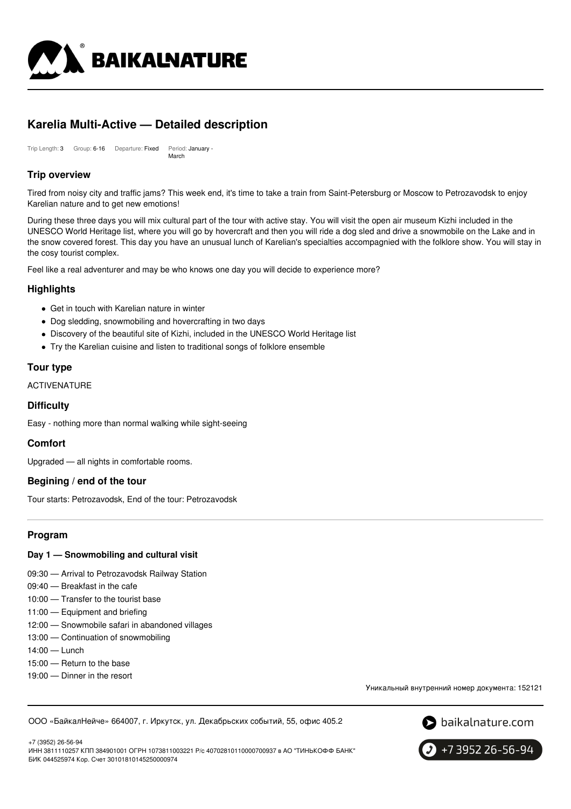

# **Karelia Multi-Active — Detailed description**

Trip Length: 3 Group: 6-16 Departure: Fixed Period: January - March

# **Trip overview**

Tired from noisy city and traffic jams? This week end, it's time to take a train from Saint-Petersburg or Moscow to Petrozavodsk to enjoy Karelian nature and to get new emotions!

During these three days you will mix cultural part of the tour with active stay. You will visit the open air museum Kizhi included in the UNESCO World Heritage list, where you will go by hovercraft and then you will ride a dog sled and drive a snowmobile on the Lake and in the snow covered forest. This day you have an unusual lunch of Karelian's specialties accompagnied with the folklore show. You will stay in the cosy tourist complex.

Feel like a real adventurer and may be who knows one day you will decide to experience more?

# **Highlights**

- Get in touch with Karelian nature in winter
- Dog sledding, snowmobiling and hovercrafting in two days
- Discovery of the beautiful site of Kizhi, included in the UNESCO World Heritage list
- Try the Karelian cuisine and listen to traditional songs of folklore ensemble

# **Tour type**

ACTIVENATURE

### **Difficulty**

Easy - nothing more than normal walking while sight-seeing

### **Comfort**

Upgraded — all nights in comfortable rooms.

### **Begining / end of the tour**

Tour starts: Petrozavodsk, End of the tour: Petrozavodsk

# **Program**

### **Day 1 — Snowmobiling and cultural visit**

- 09:30 Arrival to Petrozavodsk Railway Station
- 09:40 Breakfast in the cafe
- 10:00 Transfer to the tourist base
- 11:00 Equipment and briefing
- 12:00 Snowmobile safari in abandoned villages
- 13:00 Continuation of snowmobiling
- 14:00 Lunch
- 15:00 Return to the base
- 19:00 Dinner in the resort

Уникальный внутренний номер документа: 152121

ООО «БайкалНейче» 664007, г. Иркутск, ул. Декабрьских событий, 55, офис 405.2



+7 (3952) 26-56-94 ИНН 3811110257 КПП 384901001 ОГРН 1073811003221 Р/с 40702810110000700937 в АО "ТИНЬКОФФ БАНК" БИК 044525974 Кор. Счет 30101810145250000974

+7 3952 26-56-94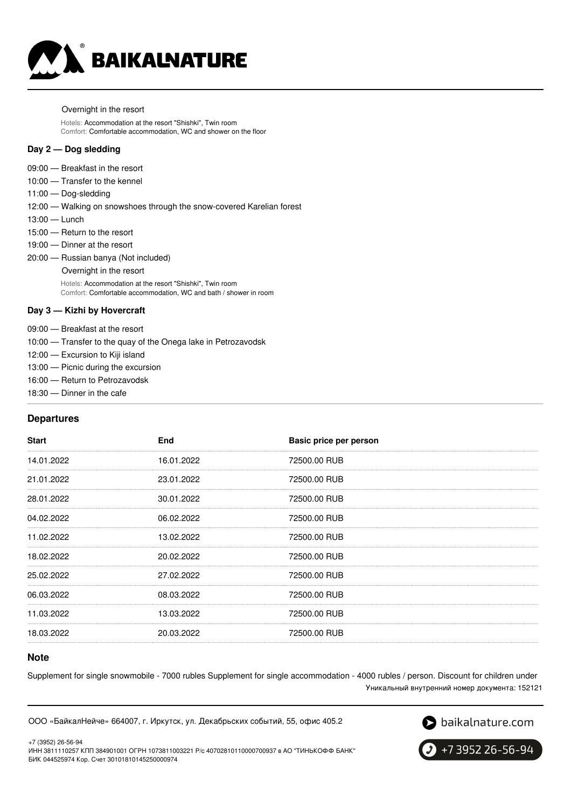

Overnight in the resort

Hotels: Accommodation at the resort "Shishki", Twin room Comfort: Comfortable accommodation, WC and shower on the floor

#### **Day 2 — Dog sledding**

- 09:00 Breakfast in the resort
- 10:00 Transfer to the kennel
- 11:00 Dog-sledding

12:00 — Walking on snowshoes through the snow-covered Karelian forest

- 13:00 Lunch
- 15:00 Return to the resort
- 19:00 Dinner at the resort
- 20:00 Russian banya (Not included)
	- Overnight in the resort

Hotels: Accommodation at the resort "Shishki", Twin room Comfort: Comfortable accommodation, WC and bath / shower in room

### **Day 3 — Kizhi by Hovercraft**

- 09:00 Breakfast at the resort
- 10:00 Transfer to the quay of the Onega lake in Petrozavodsk
- 12:00 Excursion to Kiji island
- 13:00 Picnic during the excursion
- 16:00 Return to Petrozavodsk
- 18:30 Dinner in the cafe

### **Departures**

| <b>Start</b> | End        | Basic price per person |
|--------------|------------|------------------------|
| 14.01.2022   | 16.01.2022 | 72500.00 RUB           |
| 21.01.2022   | 23.01.2022 | 72500.00 RUB           |
| 28.01.2022   | 30.01.2022 | 72500.00 RUB           |
| 04.02.2022   | 06.02.2022 | 72500.00 RUB           |
| 11.02.2022   | 13.02.2022 | 72500.00 RUB           |
| 18.02.2022   | 20.02.2022 | 72500.00 RUB           |
| 25.02.2022   | 27.02.2022 | 72500.00 RUB           |
| 06.03.2022   | 08.03.2022 | 72500.00 RUB           |
| 11.03.2022   | 13.03.2022 | 72500.00 RUB           |
| 18.03.2022   | 20.03.2022 | 72500.00 RUB           |

### **Note**

Supplement for single snowmobile - 7000 rubles Supplement for single accommodation - 4000 rubles / person. Discount for children under Уникальный внутренний номер документа: 152121

ООО «БайкалНейче» 664007, г. Иркутск, ул. Декабрьских событий, 55, офис 405.2



+7 (3952) 26-56-94 ИНН 3811110257 КПП 384901001 ОГРН 1073811003221 Р/с 40702810110000700937 в АО "ТИНЬКОФФ БАНК" БИК 044525974 Кор. Счет 30101810145250000974

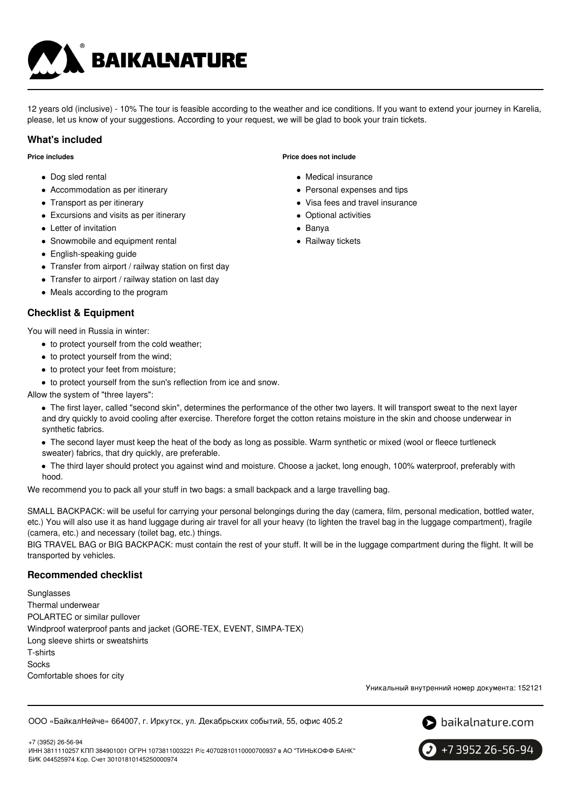

12 years old (inclusive) - 10% The tour is feasible according to the weather and ice conditions. If you want to extend your journey in Karelia, please, let us know of your suggestions. According to your request, we will be glad to book your train tickets.

## **What's included**

**Price includes**

- Dog sled rental
- Accommodation as per itinerary
- Transport as per itinerary
- Excursions and visits as per itinerary
- Letter of invitation
- Snowmobile and equipment rental
- English-speaking guide
- Transfer from airport / railway station on first day
- Transfer to airport / railway station on last day
- Meals according to the program

# **Checklist & Equipment**

You will need in Russia in winter:

- to protect yourself from the cold weather;
- to protect yourself from the wind;
- to protect your feet from moisture;
- to protect yourself from the sun's reflection from ice and snow.

Allow the system of "three layers":

- The first layer, called "second skin", determines the performance of the other two layers. It will transport sweat to the next layer and dry quickly to avoid cooling after exercise. Therefore forget the cotton retains moisture in the skin and choose underwear in synthetic fabrics.
- The second layer must keep the heat of the body as long as possible. Warm synthetic or mixed (wool or fleece turtleneck sweater) fabrics, that dry quickly, are preferable.
- The third layer should protect you against wind and moisture. Choose a jacket, long enough, 100% waterproof, preferably with hood.

We recommend you to pack all your stuff in two bags: a small backpack and a large travelling bag.

SMALL BACKPACK: will be useful for carrying your personal belongings during the day (camera, film, personal medication, bottled water, etc.) You will also use it as hand luggage during air travel for all your heavy (to lighten the travel bag in the luggage compartment), fragile (camera, etc.) and necessary (toilet bag, etc.) things.

BIG TRAVEL BAG or BIG BACKPACK: must contain the rest of your stuff. It will be in the luggage compartment during the flight. It will be transported by vehicles.

# **Recommended checklist**

Sunglasses Thermal underwear POLARTEC or similar pullover Windproof waterproof pants and jacket (GORE-TEX, EVENT, SIMPA-TEX) Long sleeve shirts or sweatshirts T-shirts Socks Comfortable shoes for city

Уникальный внутренний номер документа: 152121

ООО «БайкалНейче» 664007, г. Иркутск, ул. Декабрьских событий, 55, офис 405.2



+7 (3952) 26-56-94 ИНН 3811110257 КПП 384901001 ОГРН 1073811003221 Р/с 40702810110000700937 в АО "ТИНЬКОФФ БАНК" БИК 044525974 Кор. Счет 30101810145250000974



# **Price does not include**

- Medical insurance
- Personal expenses and tips
- Visa fees and travel insurance
- Optional activities
- Banya
- Railway tickets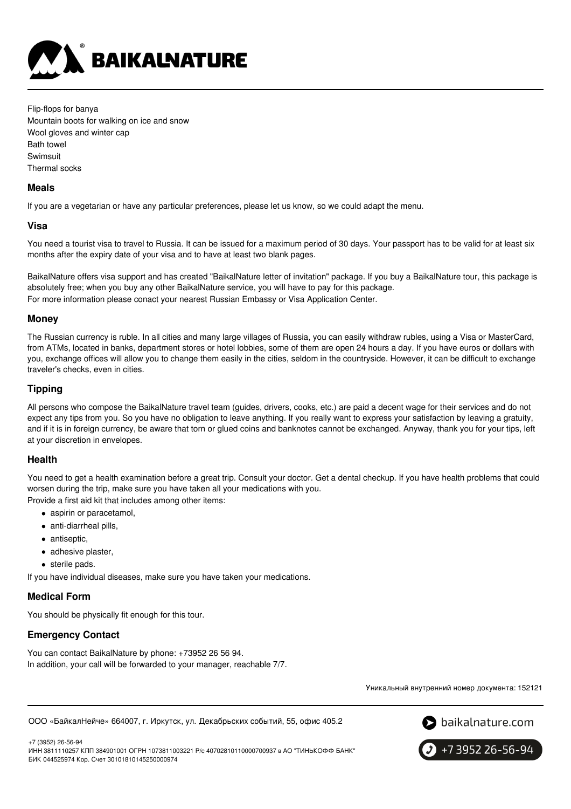

Flip-flops for banya Mountain boots for walking on ice and snow Wool gloves and winter cap Bath towel Swimsuit Thermal socks

### **Meals**

If you are a vegetarian or have any particular preferences, please let us know, so we could adapt the menu.

### **Visa**

You need a tourist visa to travel to Russia. It can be issued for a maximum period of 30 days. Your passport has to be valid for at least six months after the expiry date of your visa and to have at least two blank pages.

BaikalNature offers visa support and has created "BaikalNature letter of invitation" package. If you buy a BaikalNature tour, this package is absolutely free; when you buy any other BaikalNature service, you will have to pay for this package. For more information please conact your nearest Russian Embassy or Visa Application Center.

### **Money**

The Russian currency is ruble. In all cities and many large villages of Russia, you can easily withdraw rubles, using a Visa or MasterCard, from ATMs, located in banks, department stores or hotel lobbies, some of them are open 24 hours a day. If you have euros or dollars with you, exchange offices will allow you to change them easily in the cities, seldom in the countryside. However, it can be difficult to exchange traveler's checks, even in cities.

### **Tipping**

All persons who compose the BaikalNature travel team (guides, drivers, cooks, etc.) are paid a decent wage for their services and do not expect any tips from you. So you have no obligation to leave anything. If you really want to express your satisfaction by leaving a gratuity, and if it is in foreign currency, be aware that torn or glued coins and banknotes cannot be exchanged. Anyway, thank you for your tips, left at your discretion in envelopes.

#### **Health**

You need to get a health examination before a great trip. Consult your doctor. Get a dental checkup. If you have health problems that could worsen during the trip, make sure you have taken all your medications with you.

Provide a first aid kit that includes among other items:

- aspirin or paracetamol,
- anti-diarrheal pills,
- antiseptic,
- adhesive plaster,
- sterile pads.

If you have individual diseases, make sure you have taken your medications.

### **Medical Form**

You should be physically fit enough for this tour.

# **Emergency Contact**

You can contact BaikalNature by phone: +73952 26 56 94. In addition, your call will be forwarded to your manager, reachable 7/7.

Уникальный внутренний номер документа: 152121

ООО «БайкалНейче» 664007, г. Иркутск, ул. Декабрьских событий, 55, офис 405.2



+7 (3952) 26-56-94 ИНН 3811110257 КПП 384901001 ОГРН 1073811003221 Р/с 40702810110000700937 в АО "ТИНЬКОФФ БАНК" БИК 044525974 Кор. Счет 30101810145250000974